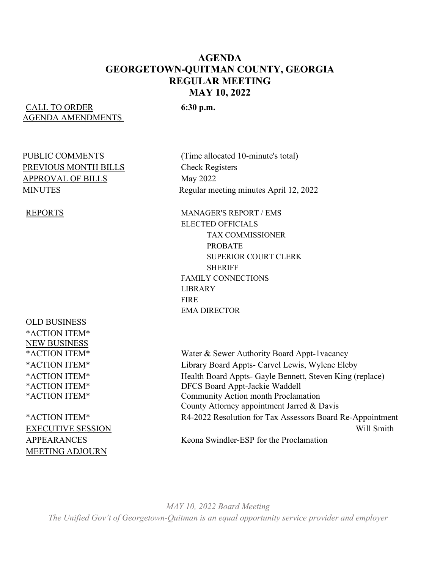#### **AGENDA GEORGETOWN-QUITMAN COUNTY, GEORGIA REGULAR MEETING MAY 10, 2022**

#### CALL TO ORDER **6:30 p.m.** AGENDA AMENDMENTS

# PREVIOUS MONTH BILLS<br>
Check Registers APPROVAL OF BILLS May 2022

OLD BUSINESS \*ACTION ITEM\* NEW BUSINESS

MEETING ADJOURN

PUBLIC COMMENTS (Time allocated 10-minute's total) MINUTES Regular meeting minutes April 12, 2022

REPORTS MANAGER'S REPORT / EMS ELECTED OFFICIALS TAX COMMISSIONER PROBATE SUPERIOR COURT CLERK **SHERIFF**  FAMILY CONNECTIONS LIBRARY **FIRE** EMA DIRECTOR

\*ACTION ITEM\* Water & Sewer Authority Board Appt-1vacancy \*ACTION ITEM\* Library Board Appts- Carvel Lewis, Wylene Eleby \*ACTION ITEM\* Health Board Appts- Gayle Bennett, Steven King (replace) \*ACTION ITEM\* DFCS Board Appt-Jackie Waddell \*ACTION ITEM\* Community Action month Proclamation County Attorney appointment Jarred & Davis \*ACTION ITEM\* R4-2022 Resolution for Tax Assessors Board Re-Appointment EXECUTIVE SESSION Will Smith APPEARANCES Keona Swindler-ESP for the Proclamation

*MAY 10, 2022 Board Meeting The Unified Gov't of Georgetown-Quitman is an equal opportunity service provider and employer*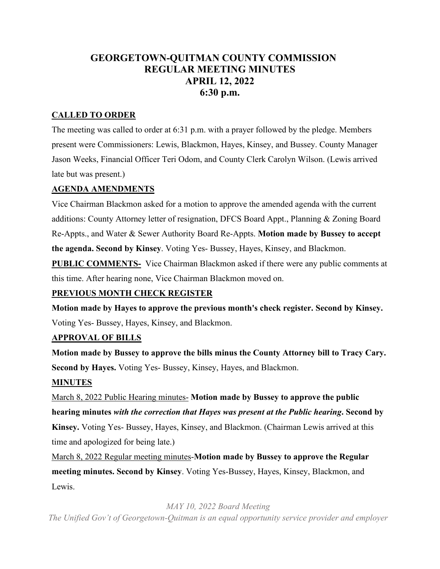### **GEORGETOWN-QUITMAN COUNTY COMMISSION REGULAR MEETING MINUTES APRIL 12, 2022 6:30 p.m.**

#### **CALLED TO ORDER**

The meeting was called to order at 6:31 p.m. with a prayer followed by the pledge. Members present were Commissioners: Lewis, Blackmon, Hayes, Kinsey, and Bussey. County Manager Jason Weeks, Financial Officer Teri Odom, and County Clerk Carolyn Wilson. (Lewis arrived late but was present.)

#### **AGENDA AMENDMENTS**

Vice Chairman Blackmon asked for a motion to approve the amended agenda with the current additions: County Attorney letter of resignation, DFCS Board Appt., Planning & Zoning Board Re-Appts., and Water & Sewer Authority Board Re-Appts. **Motion made by Bussey to accept the agenda. Second by Kinsey**. Voting Yes- Bussey, Hayes, Kinsey, and Blackmon.

**PUBLIC COMMENTS-** Vice Chairman Blackmon asked if there were any public comments at this time. After hearing none, Vice Chairman Blackmon moved on.

#### **PREVIOUS MONTH CHECK REGISTER**

**Motion made by Hayes to approve the previous month's check register. Second by Kinsey.** Voting Yes- Bussey, Hayes, Kinsey, and Blackmon.

#### **APPROVAL OF BILLS**

**Motion made by Bussey to approve the bills minus the County Attorney bill to Tracy Cary. Second by Hayes.** Voting Yes- Bussey, Kinsey, Hayes, and Blackmon.

#### **MINUTES**

March 8, 2022 Public Hearing minutes- **Motion made by Bussey to approve the public hearing minutes** *with the correction that Hayes was present at the Public hearing***. Second by Kinsey.** Voting Yes- Bussey, Hayes, Kinsey, and Blackmon. (Chairman Lewis arrived at this time and apologized for being late.)

March 8, 2022 Regular meeting minutes-**Motion made by Bussey to approve the Regular meeting minutes. Second by Kinsey**. Voting Yes-Bussey, Hayes, Kinsey, Blackmon, and Lewis.

*MAY 10, 2022 Board Meeting* 

*The Unified Gov't of Georgetown-Quitman is an equal opportunity service provider and employer*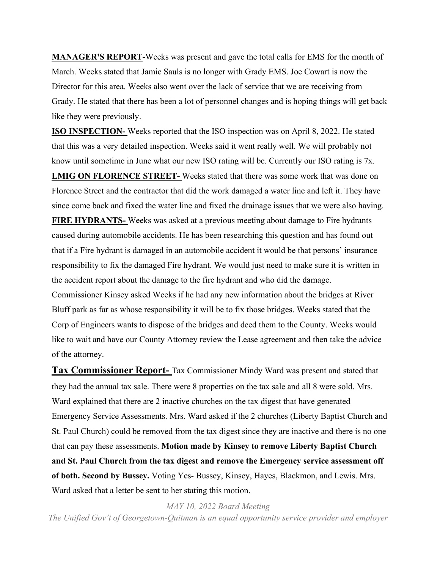**MANAGER'S REPORT-**Weeks was present and gave the total calls for EMS for the month of March. Weeks stated that Jamie Sauls is no longer with Grady EMS. Joe Cowart is now the Director for this area. Weeks also went over the lack of service that we are receiving from Grady. He stated that there has been a lot of personnel changes and is hoping things will get back like they were previously.

**ISO INSPECTION-** Weeks reported that the ISO inspection was on April 8, 2022. He stated that this was a very detailed inspection. Weeks said it went really well. We will probably not know until sometime in June what our new ISO rating will be. Currently our ISO rating is 7x. **LMIG ON FLORENCE STREET-** Weeks stated that there was some work that was done on Florence Street and the contractor that did the work damaged a water line and left it. They have since come back and fixed the water line and fixed the drainage issues that we were also having. **FIRE HYDRANTS-** Weeks was asked at a previous meeting about damage to Fire hydrants caused during automobile accidents. He has been researching this question and has found out that if a Fire hydrant is damaged in an automobile accident it would be that persons' insurance responsibility to fix the damaged Fire hydrant. We would just need to make sure it is written in the accident report about the damage to the fire hydrant and who did the damage. Commissioner Kinsey asked Weeks if he had any new information about the bridges at River Bluff park as far as whose responsibility it will be to fix those bridges. Weeks stated that the Corp of Engineers wants to dispose of the bridges and deed them to the County. Weeks would like to wait and have our County Attorney review the Lease agreement and then take the advice of the attorney.

**Tax Commissioner Report-** Tax Commissioner Mindy Ward was present and stated that they had the annual tax sale. There were 8 properties on the tax sale and all 8 were sold. Mrs. Ward explained that there are 2 inactive churches on the tax digest that have generated Emergency Service Assessments. Mrs. Ward asked if the 2 churches (Liberty Baptist Church and St. Paul Church) could be removed from the tax digest since they are inactive and there is no one that can pay these assessments. **Motion made by Kinsey to remove Liberty Baptist Church and St. Paul Church from the tax digest and remove the Emergency service assessment off of both. Second by Bussey.** Voting Yes- Bussey, Kinsey, Hayes, Blackmon, and Lewis. Mrs. Ward asked that a letter be sent to her stating this motion.

*MAY 10, 2022 Board Meeting* 

*The Unified Gov't of Georgetown-Quitman is an equal opportunity service provider and employer*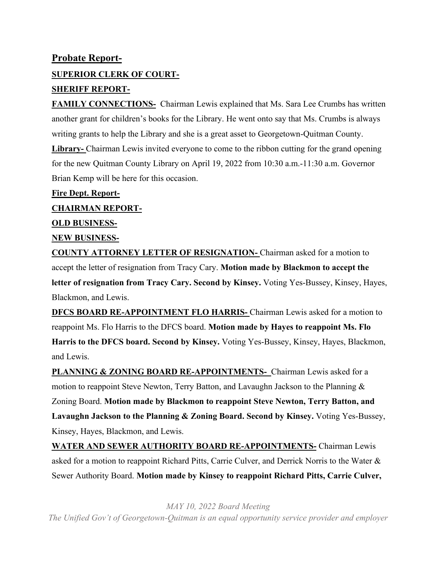## **Probate Report-SUPERIOR CLERK OF COURT-SHERIFF REPORT-**

**FAMILY CONNECTIONS-** Chairman Lewis explained that Ms. Sara Lee Crumbs has written another grant for children's books for the Library. He went onto say that Ms. Crumbs is always writing grants to help the Library and she is a great asset to Georgetown-Quitman County. **Library-** Chairman Lewis invited everyone to come to the ribbon cutting for the grand opening for the new Quitman County Library on April 19, 2022 from 10:30 a.m.-11:30 a.m. Governor Brian Kemp will be here for this occasion.

**Fire Dept. Report-CHAIRMAN REPORT-OLD BUSINESS-NEW BUSINESS-**

**COUNTY ATTORNEY LETTER OF RESIGNATION-** Chairman asked for a motion to accept the letter of resignation from Tracy Cary. **Motion made by Blackmon to accept the letter of resignation from Tracy Cary. Second by Kinsey.** Voting Yes-Bussey, Kinsey, Hayes, Blackmon, and Lewis.

**DFCS BOARD RE-APPOINTMENT FLO HARRIS-** Chairman Lewis asked for a motion to reappoint Ms. Flo Harris to the DFCS board. **Motion made by Hayes to reappoint Ms. Flo Harris to the DFCS board. Second by Kinsey.** Voting Yes-Bussey, Kinsey, Hayes, Blackmon, and Lewis.

**PLANNING & ZONING BOARD RE-APPOINTMENTS-** Chairman Lewis asked for a motion to reappoint Steve Newton, Terry Batton, and Lavaughn Jackson to the Planning & Zoning Board. **Motion made by Blackmon to reappoint Steve Newton, Terry Batton, and Lavaughn Jackson to the Planning & Zoning Board. Second by Kinsey.** Voting Yes-Bussey, Kinsey, Hayes, Blackmon, and Lewis.

**WATER AND SEWER AUTHORITY BOARD RE-APPOINTMENTS-** Chairman Lewis asked for a motion to reappoint Richard Pitts, Carrie Culver, and Derrick Norris to the Water & Sewer Authority Board. **Motion made by Kinsey to reappoint Richard Pitts, Carrie Culver,** 

*MAY 10, 2022 Board Meeting The Unified Gov't of Georgetown-Quitman is an equal opportunity service provider and employer*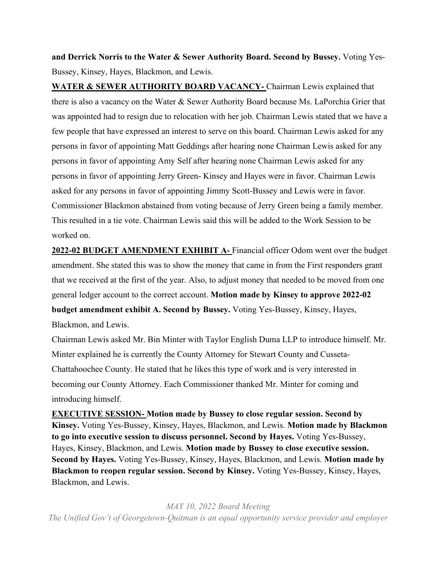**and Derrick Norris to the Water & Sewer Authority Board. Second by Bussey.** Voting Yes-Bussey, Kinsey, Hayes, Blackmon, and Lewis.

**WATER & SEWER AUTHORITY BOARD VACANCY-** Chairman Lewis explained that there is also a vacancy on the Water & Sewer Authority Board because Ms. LaPorchia Grier that was appointed had to resign due to relocation with her job. Chairman Lewis stated that we have a few people that have expressed an interest to serve on this board. Chairman Lewis asked for any persons in favor of appointing Matt Geddings after hearing none Chairman Lewis asked for any persons in favor of appointing Amy Self after hearing none Chairman Lewis asked for any persons in favor of appointing Jerry Green- Kinsey and Hayes were in favor. Chairman Lewis asked for any persons in favor of appointing Jimmy Scott-Bussey and Lewis were in favor. Commissioner Blackmon abstained from voting because of Jerry Green being a family member. This resulted in a tie vote. Chairman Lewis said this will be added to the Work Session to be worked on.

**2022-02 BUDGET AMENDMENT EXHIBIT A-** Financial officer Odom went over the budget amendment. She stated this was to show the money that came in from the First responders grant that we received at the first of the year. Also, to adjust money that needed to be moved from one general ledger account to the correct account. **Motion made by Kinsey to approve 2022-02 budget amendment exhibit A. Second by Bussey.** Voting Yes-Bussey, Kinsey, Hayes, Blackmon, and Lewis.

Chairman Lewis asked Mr. Bin Minter with Taylor English Duma LLP to introduce himself. Mr. Minter explained he is currently the County Attorney for Stewart County and Cusseta-Chattahoochee County. He stated that he likes this type of work and is very interested in becoming our County Attorney. Each Commissioner thanked Mr. Minter for coming and introducing himself.

**EXECUTIVE SESSION- Motion made by Bussey to close regular session. Second by Kinsey.** Voting Yes-Bussey, Kinsey, Hayes, Blackmon, and Lewis. **Motion made by Blackmon to go into executive session to discuss personnel. Second by Hayes.** Voting Yes-Bussey, Hayes, Kinsey, Blackmon, and Lewis. **Motion made by Bussey to close executive session. Second by Hayes.** Voting Yes-Bussey, Kinsey, Hayes, Blackmon, and Lewis. **Motion made by Blackmon to reopen regular session. Second by Kinsey.** Voting Yes-Bussey, Kinsey, Hayes, Blackmon, and Lewis.

*MAY 10, 2022 Board Meeting The Unified Gov't of Georgetown-Quitman is an equal opportunity service provider and employer*